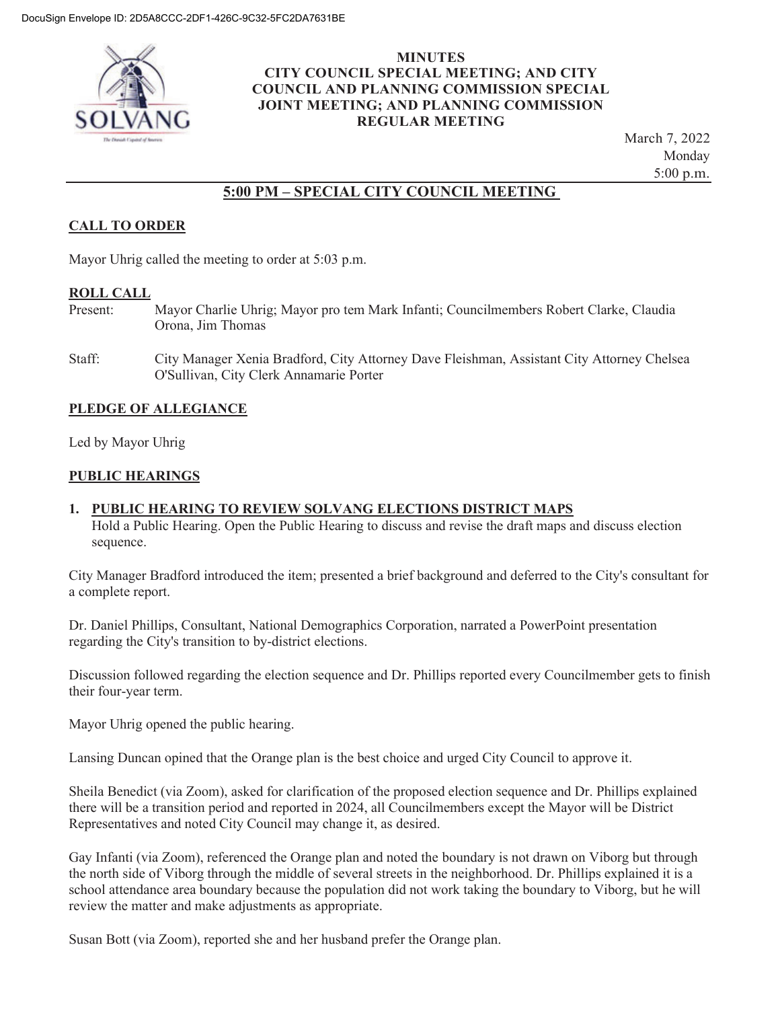

#### **MINUTES CITY COUNCIL SPECIAL MEETING; AND CITY COUNCIL AND PLANNING COMMISSION SPECIAL JOINT MEETING; AND PLANNING COMMISSION REGULAR MEETING**

March 7, 2022 Monday 5:00 p.m.

# **5:00 PM – SPECIAL CITY COUNCIL MEETING**

# **CALL TO ORDER**

Mayor Uhrig called the meeting to order at 5:03 p.m.

#### **ROLL CALL**

- Present: Mayor Charlie Uhrig; Mayor pro tem Mark Infanti; Councilmembers Robert Clarke, Claudia Orona, Jim Thomas
- Staff: City Manager Xenia Bradford, City Attorney Dave Fleishman, Assistant City Attorney Chelsea O'Sullivan, City Clerk Annamarie Porter

## **PLEDGE OF ALLEGIANCE**

Led by Mayor Uhrig

#### **PUBLIC HEARINGS**

#### **1. PUBLIC HEARING TO REVIEW SOLVANG ELECTIONS DISTRICT MAPS**

Hold a Public Hearing. Open the Public Hearing to discuss and revise the draft maps and discuss election sequence.

City Manager Bradford introduced the item; presented a brief background and deferred to the City's consultant for a complete report.

Dr. Daniel Phillips, Consultant, National Demographics Corporation, narrated a PowerPoint presentation regarding the City's transition to by-district elections.

Discussion followed regarding the election sequence and Dr. Phillips reported every Councilmember gets to finish their four-year term.

Mayor Uhrig opened the public hearing.

Lansing Duncan opined that the Orange plan is the best choice and urged City Council to approve it.

Sheila Benedict (via Zoom), asked for clarification of the proposed election sequence and Dr. Phillips explained there will be a transition period and reported in 2024, all Councilmembers except the Mayor will be District Representatives and noted City Council may change it, as desired.

Gay Infanti (via Zoom), referenced the Orange plan and noted the boundary is not drawn on Viborg but through the north side of Viborg through the middle of several streets in the neighborhood. Dr. Phillips explained it is a school attendance area boundary because the population did not work taking the boundary to Viborg, but he will review the matter and make adjustments as appropriate.

Susan Bott (via Zoom), reported she and her husband prefer the Orange plan.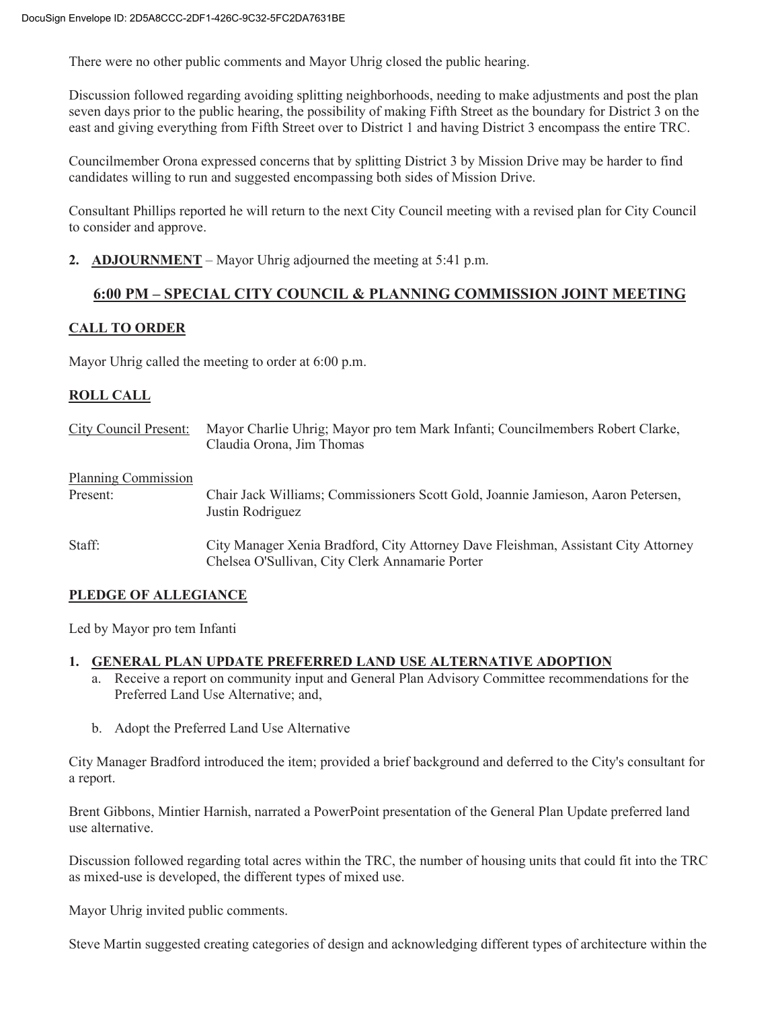There were no other public comments and Mayor Uhrig closed the public hearing.

Discussion followed regarding avoiding splitting neighborhoods, needing to make adjustments and post the plan seven days prior to the public hearing, the possibility of making Fifth Street as the boundary for District 3 on the east and giving everything from Fifth Street over to District 1 and having District 3 encompass the entire TRC.

Councilmember Orona expressed concerns that by splitting District 3 by Mission Drive may be harder to find candidates willing to run and suggested encompassing both sides of Mission Drive.

Consultant Phillips reported he will return to the next City Council meeting with a revised plan for City Council to consider and approve.

**2. ADJOURNMENT** – Mayor Uhrig adjourned the meeting at 5:41 p.m.

## **6:00 PM – SPECIAL CITY COUNCIL & PLANNING COMMISSION JOINT MEETING**

## **CALL TO ORDER**

Mayor Uhrig called the meeting to order at 6:00 p.m.

## **ROLL CALL**

| <b>City Council Present:</b>    | Mayor Charlie Uhrig; Mayor pro tem Mark Infanti; Councilmembers Robert Clarke,<br>Claudia Orona, Jim Thomas                           |
|---------------------------------|---------------------------------------------------------------------------------------------------------------------------------------|
| Planning Commission<br>Present: | Chair Jack Williams; Commissioners Scott Gold, Joannie Jamieson, Aaron Petersen,<br>Justin Rodriguez                                  |
| Staff:                          | City Manager Xenia Bradford, City Attorney Dave Fleishman, Assistant City Attorney<br>Chelsea O'Sullivan, City Clerk Annamarie Porter |

## **PLEDGE OF ALLEGIANCE**

Led by Mayor pro tem Infanti

#### **1. GENERAL PLAN UPDATE PREFERRED LAND USE ALTERNATIVE ADOPTION**

- a. Receive a report on community input and General Plan Advisory Committee recommendations for the Preferred Land Use Alternative; and,
- b. Adopt the Preferred Land Use Alternative

City Manager Bradford introduced the item; provided a brief background and deferred to the City's consultant for a report.

Brent Gibbons, Mintier Harnish, narrated a PowerPoint presentation of the General Plan Update preferred land use alternative.

Discussion followed regarding total acres within the TRC, the number of housing units that could fit into the TRC as mixed-use is developed, the different types of mixed use.

Mayor Uhrig invited public comments.

Steve Martin suggested creating categories of design and acknowledging different types of architecture within the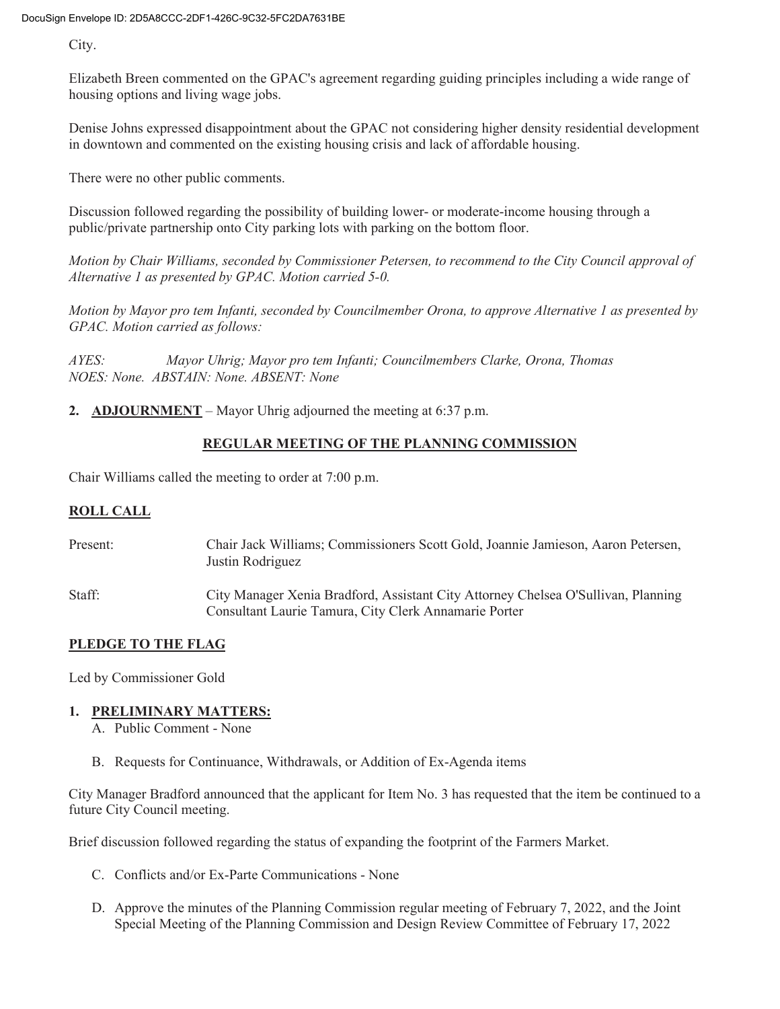City.

Elizabeth Breen commented on the GPAC's agreement regarding guiding principles including a wide range of housing options and living wage jobs.

Denise Johns expressed disappointment about the GPAC not considering higher density residential development in downtown and commented on the existing housing crisis and lack of affordable housing.

There were no other public comments.

Discussion followed regarding the possibility of building lower- or moderate-income housing through a public/private partnership onto City parking lots with parking on the bottom floor.

*Motion by Chair Williams, seconded by Commissioner Petersen, to recommend to the City Council approval of Alternative 1 as presented by GPAC. Motion carried 5-0.* 

*Motion by Mayor pro tem Infanti, seconded by Councilmember Orona, to approve Alternative 1 as presented by GPAC. Motion carried as follows:* 

*AYES: Mayor Uhrig; Mayor pro tem Infanti; Councilmembers Clarke, Orona, Thomas NOES: None. ABSTAIN: None. ABSENT: None* 

**2. ADJOURNMENT** – Mayor Uhrig adjourned the meeting at 6:37 p.m.

# **REGULAR MEETING OF THE PLANNING COMMISSION**

Chair Williams called the meeting to order at 7:00 p.m.

#### **ROLL CALL**

| Present: | Chair Jack Williams; Commissioners Scott Gold, Joannie Jamieson, Aaron Petersen,<br>Justin Rodriguez                                       |
|----------|--------------------------------------------------------------------------------------------------------------------------------------------|
| Staff:   | City Manager Xenia Bradford, Assistant City Attorney Chelsea O'Sullivan, Planning<br>Consultant Laurie Tamura, City Clerk Annamarie Porter |

## **PLEDGE TO THE FLAG**

Led by Commissioner Gold

## **1. PRELIMINARY MATTERS:**

A. Public Comment - None

B. Requests for Continuance, Withdrawals, or Addition of Ex-Agenda items

City Manager Bradford announced that the applicant for Item No. 3 has requested that the item be continued to a future City Council meeting.

Brief discussion followed regarding the status of expanding the footprint of the Farmers Market.

- C. Conflicts and/or Ex-Parte Communications None
- D. Approve the minutes of the Planning Commission regular meeting of February 7, 2022, and the Joint Special Meeting of the Planning Commission and Design Review Committee of February 17, 2022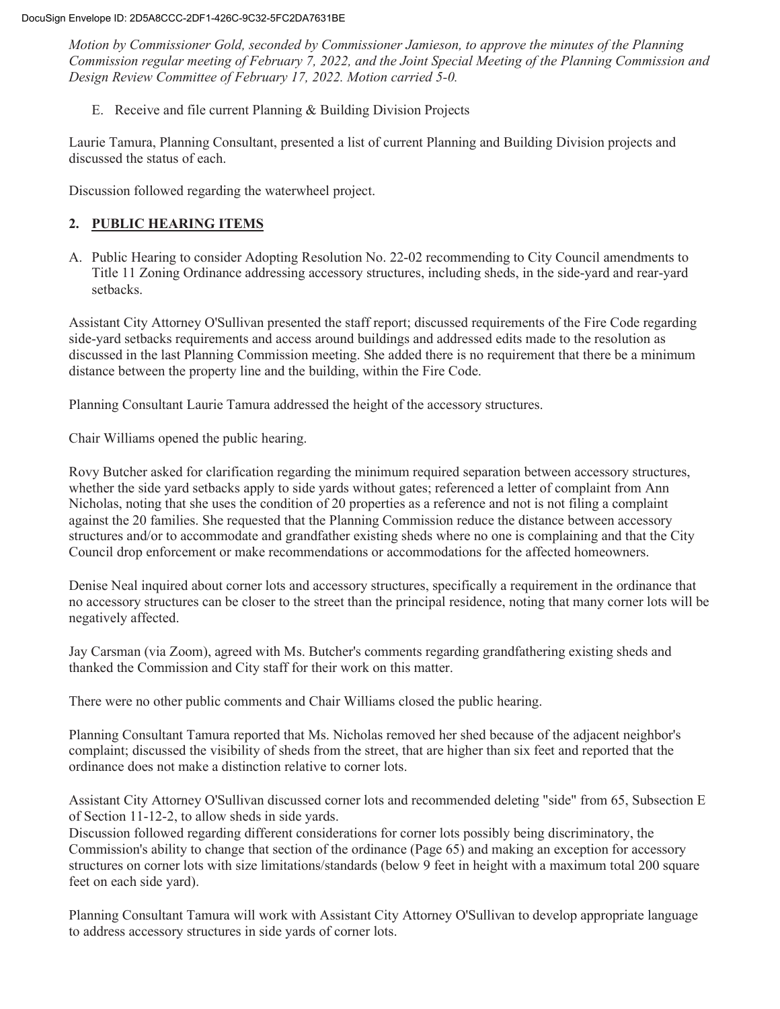*Motion by Commissioner Gold, seconded by Commissioner Jamieson, to approve the minutes of the Planning Commission regular meeting of February 7, 2022, and the Joint Special Meeting of the Planning Commission and Design Review Committee of February 17, 2022. Motion carried 5-0.* 

E. Receive and file current Planning & Building Division Projects

Laurie Tamura, Planning Consultant, presented a list of current Planning and Building Division projects and discussed the status of each.

Discussion followed regarding the waterwheel project.

## **2. PUBLIC HEARING ITEMS**

A. Public Hearing to consider Adopting Resolution No. 22-02 recommending to City Council amendments to Title 11 Zoning Ordinance addressing accessory structures, including sheds, in the side-yard and rear-yard setbacks.

Assistant City Attorney O'Sullivan presented the staff report; discussed requirements of the Fire Code regarding side-yard setbacks requirements and access around buildings and addressed edits made to the resolution as discussed in the last Planning Commission meeting. She added there is no requirement that there be a minimum distance between the property line and the building, within the Fire Code.

Planning Consultant Laurie Tamura addressed the height of the accessory structures.

Chair Williams opened the public hearing.

Rovy Butcher asked for clarification regarding the minimum required separation between accessory structures, whether the side yard setbacks apply to side yards without gates; referenced a letter of complaint from Ann Nicholas, noting that she uses the condition of 20 properties as a reference and not is not filing a complaint against the 20 families. She requested that the Planning Commission reduce the distance between accessory structures and/or to accommodate and grandfather existing sheds where no one is complaining and that the City Council drop enforcement or make recommendations or accommodations for the affected homeowners.

Denise Neal inquired about corner lots and accessory structures, specifically a requirement in the ordinance that no accessory structures can be closer to the street than the principal residence, noting that many corner lots will be negatively affected.

Jay Carsman (via Zoom), agreed with Ms. Butcher's comments regarding grandfathering existing sheds and thanked the Commission and City staff for their work on this matter.

There were no other public comments and Chair Williams closed the public hearing.

Planning Consultant Tamura reported that Ms. Nicholas removed her shed because of the adjacent neighbor's complaint; discussed the visibility of sheds from the street, that are higher than six feet and reported that the ordinance does not make a distinction relative to corner lots.

Assistant City Attorney O'Sullivan discussed corner lots and recommended deleting "side" from 65, Subsection E of Section 11-12-2, to allow sheds in side yards.

Discussion followed regarding different considerations for corner lots possibly being discriminatory, the Commission's ability to change that section of the ordinance (Page 65) and making an exception for accessory structures on corner lots with size limitations/standards (below 9 feet in height with a maximum total 200 square feet on each side yard).

Planning Consultant Tamura will work with Assistant City Attorney O'Sullivan to develop appropriate language to address accessory structures in side yards of corner lots.